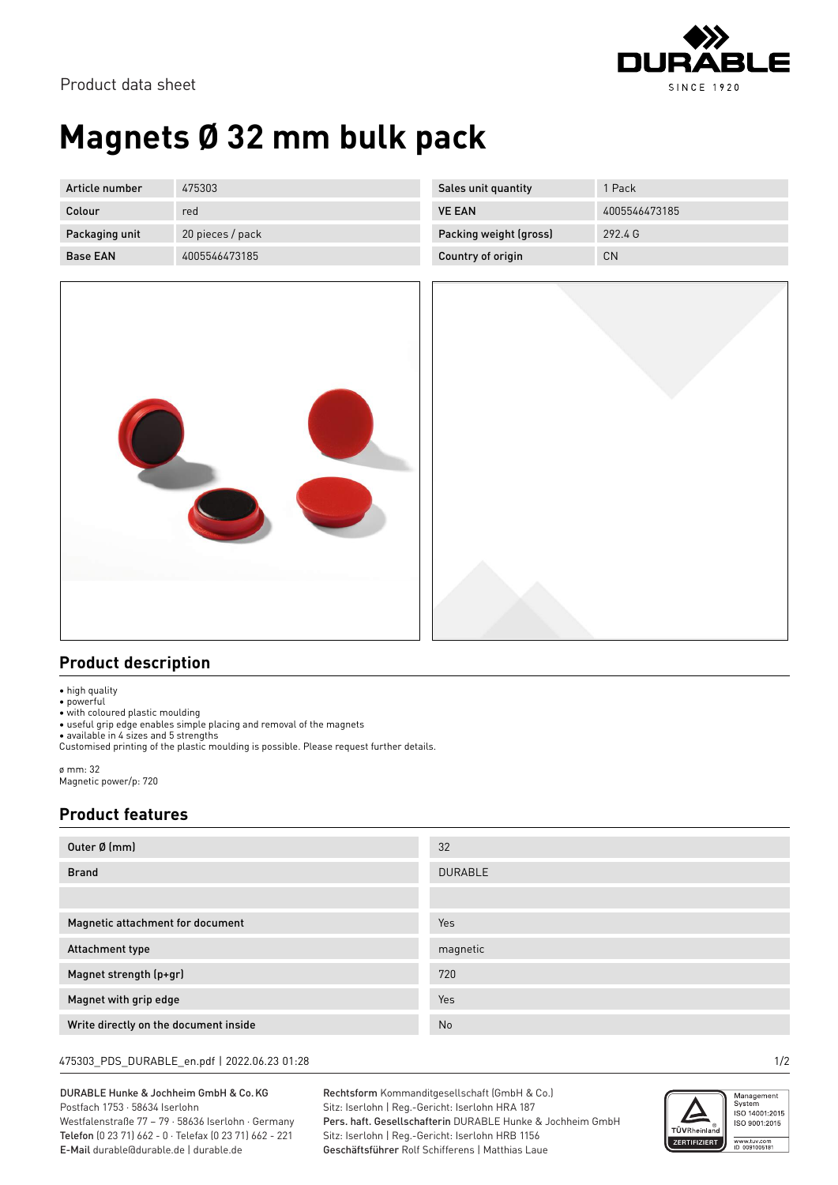

# **Magnets Ø 32 mm bulk pack**

| Article number  | 475303           | Sales unit quantity    | 1 Pack        |
|-----------------|------------------|------------------------|---------------|
| Colour          | red              | <b>VE EAN</b>          | 4005546473185 |
| Packaging unit  | 20 pieces / pack | Packing weight (gross) | 292.4 G       |
| <b>Base EAN</b> | 4005546473185    | Country of origin      | <b>CN</b>     |



#### **Product description**

• high quality

• powerful

• with coloured plastic moulding

• useful grip edge enables simple placing and removal of the magnets

• available in 4 sizes and 5 strengths Customised printing of the plastic moulding is possible. Please request further details.

ø mm: 32 Magnetic power/p: 720

### **Product features**

| Outer Ø (mm)                          | 32             |
|---------------------------------------|----------------|
| <b>Brand</b>                          | <b>DURABLE</b> |
|                                       |                |
| Magnetic attachment for document      | Yes            |
| Attachment type                       | magnetic       |
| Magnet strength (p+gr)                | 720            |
| Magnet with grip edge                 | Yes            |
| Write directly on the document inside | No             |

#### 475303\_PDS\_DURABLE\_en.pdf | 2022.06.23 01:28 1/2

DURABLE Hunke & Jochheim GmbH & Co.KG Postfach 1753 · 58634 Iserlohn Westfalenstraße 77 – 79 · 58636 Iserlohn · Germany Telefon (0 23 71) 662 - 0 · Telefax (0 23 71) 662 - 221 E-Mail durable@durable.de | durable.de

Rechtsform Kommanditgesellschaft (GmbH & Co.) Sitz: Iserlohn | Reg.-Gericht: Iserlohn HRA 187 Pers. haft. Gesellschafterin DURABLE Hunke & Jochheim GmbH Sitz: Iserlohn | Reg.-Gericht: Iserlohn HRB 1156 Geschäftsführer Rolf Schifferens | Matthias Laue